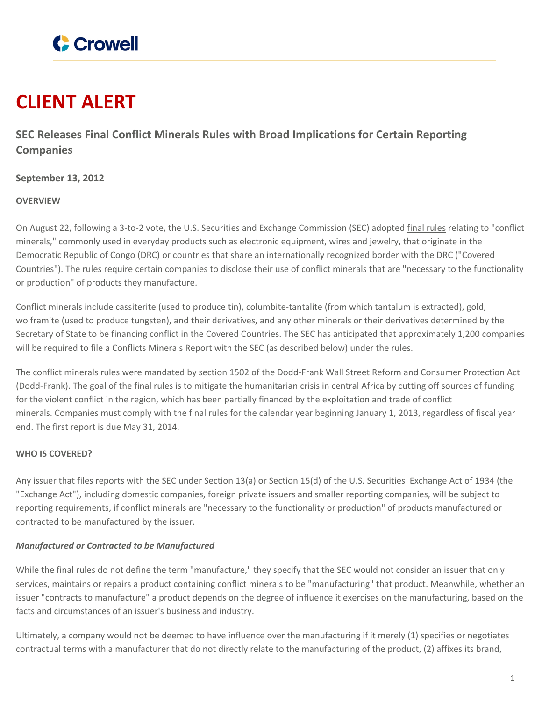

# **CLIENT ALERT**

**SEC Releases Final Conflict Minerals Rules with Broad Implications for Certain Reporting Companies**

# **September 13, 2012**

## **OVERVIEW**

On August 22, following a 3-to-2 vote, the U.S. Securities and Exchange Commission (SEC) adopted final [rules](http://www.crowell.com/files/SEC-final-rule.pdf) relating to "conflict minerals," commonly used in everyday products such as electronic equipment, wires and jewelry, that originate in the Democratic Republic of Congo (DRC) or countries that share an internationally recognized border with the DRC ("Covered Countries"). The rules require certain companies to disclose their use of conflict minerals that are "necessary to the functionality or production" of products they manufacture.

Conflict minerals include cassiterite (used to produce tin), columbite-tantalite (from which tantalum is extracted), gold, wolframite (used to produce tungsten), and their derivatives, and any other minerals or their derivatives determined by the Secretary of State to be financing conflict in the Covered Countries. The SEC has anticipated that approximately 1,200 companies will be required to file a Conflicts Minerals Report with the SEC (as described below) under the rules.

The conflict minerals rules were mandated by section 1502 of the Dodd-Frank Wall Street Reform and Consumer Protection Act (Dodd-Frank). The goal of the final rules is to mitigate the humanitarian crisis in central Africa by cutting off sources of funding for the violent conflict in the region, which has been partially financed by the exploitation and trade of conflict minerals. Companies must comply with the final rules for the calendar year beginning January 1, 2013, regardless of fiscal year end. The first report is due May 31, 2014.

#### **WHO IS COVERED?**

Any issuer that files reports with the SEC under Section 13(a) or Section 15(d) of the U.S. Securities Exchange Act of 1934 (the "Exchange Act"), including domestic companies, foreign private issuers and smaller reporting companies, will be subject to reporting requirements, if conflict minerals are "necessary to the functionality or production" of products manufactured or contracted to be manufactured by the issuer.

# *Manufactured or Contracted to be Manufactured*

While the final rules do not define the term "manufacture," they specify that the SEC would not consider an issuer that only services, maintains or repairs a product containing conflict minerals to be "manufacturing" that product. Meanwhile, whether an issuer "contracts to manufacture" a product depends on the degree of influence it exercises on the manufacturing, based on the facts and circumstances of an issuer's business and industry.

Ultimately, a company would not be deemed to have influence over the manufacturing if it merely (1) specifies or negotiates contractual terms with a manufacturer that do not directly relate to the manufacturing of the product, (2) affixes its brand,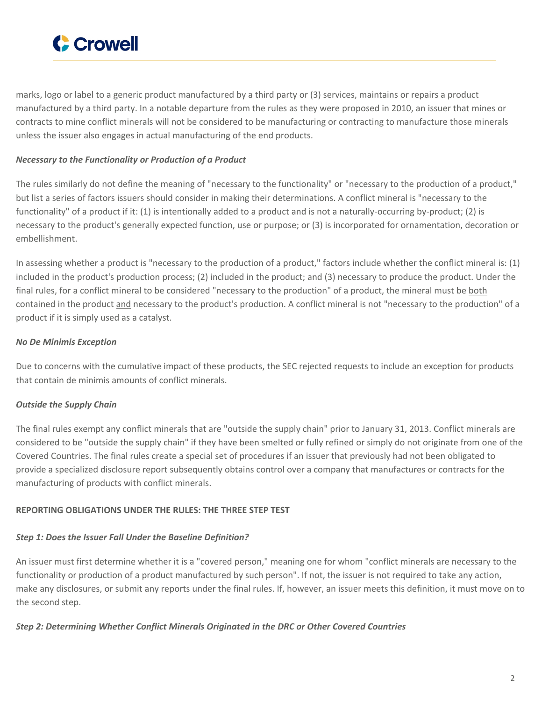

marks, logo or label to a generic product manufactured by a third party or (3) services, maintains or repairs a product manufactured by a third party. In a notable departure from the rules as they were proposed in 2010, an issuer that mines or contracts to mine conflict minerals will not be considered to be manufacturing or contracting to manufacture those minerals unless the issuer also engages in actual manufacturing of the end products.

#### *Necessary to the Functionality or Production of a Product*

The rules similarly do not define the meaning of "necessary to the functionality" or "necessary to the production of a product," but list a series of factors issuers should consider in making their determinations. A conflict mineral is "necessary to the functionality" of a product if it: (1) is intentionally added to a product and is not a naturally-occurring by-product; (2) is necessary to the product's generally expected function, use or purpose; or (3) is incorporated for ornamentation, decoration or embellishment.

In assessing whether a product is "necessary to the production of a product," factors include whether the conflict mineral is: (1) included in the product's production process; (2) included in the product; and (3) necessary to produce the product. Under the final rules, for a conflict mineral to be considered "necessary to the production" of a product, the mineral must be both contained in the product and necessary to the product's production. A conflict mineral is not "necessary to the production" of a product if it is simply used as a catalyst.

## *No De Minimis Exception*

Due to concerns with the cumulative impact of these products, the SEC rejected requests to include an exception for products that contain de minimis amounts of conflict minerals.

# *Outside the Supply Chain*

The final rules exempt any conflict minerals that are "outside the supply chain" prior to January 31, 2013. Conflict minerals are considered to be "outside the supply chain" if they have been smelted or fully refined or simply do not originate from one of the Covered Countries. The final rules create a special set of procedures if an issuer that previously had not been obligated to provide a specialized disclosure report subsequently obtains control over a company that manufactures or contracts for the manufacturing of products with conflict minerals.

#### **REPORTING OBLIGATIONS UNDER THE RULES: THE THREE STEP TEST**

#### *Step 1: Does the Issuer Fall Under the Baseline Definition?*

An issuer must first determine whether it is a "covered person," meaning one for whom "conflict minerals are necessary to the functionality or production of a product manufactured by such person". If not, the issuer is not required to take any action, make any disclosures, or submit any reports under the final rules. If, however, an issuer meets this definition, it must move on to the second step.

#### *Step 2: Determining Whether Conflict Minerals Originated in the DRC or Other Covered Countries*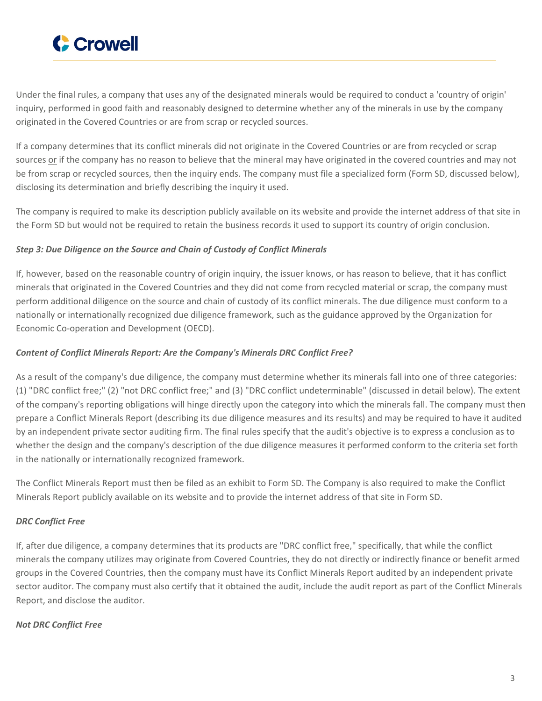

Under the final rules, a company that uses any of the designated minerals would be required to conduct a 'country of origin' inquiry, performed in good faith and reasonably designed to determine whether any of the minerals in use by the company originated in the Covered Countries or are from scrap or recycled sources.

If a company determines that its conflict minerals did not originate in the Covered Countries or are from recycled or scrap sources or if the company has no reason to believe that the mineral may have originated in the covered countries and may not be from scrap or recycled sources, then the inquiry ends. The company must file a specialized form (Form SD, discussed below), disclosing its determination and briefly describing the inquiry it used.

The company is required to make its description publicly available on its website and provide the internet address of that site in the Form SD but would not be required to retain the business records it used to support its country of origin conclusion.

## *Step 3: Due Diligence on the Source and Chain of Custody of Conflict Minerals*

If, however, based on the reasonable country of origin inquiry, the issuer knows, or has reason to believe, that it has conflict minerals that originated in the Covered Countries and they did not come from recycled material or scrap, the company must perform additional diligence on the source and chain of custody of its conflict minerals. The due diligence must conform to a nationally or internationally recognized due diligence framework, such as the guidance approved by the Organization for Economic Co-operation and Development (OECD).

#### *Content of Conflict Minerals Report: Are the Company's Minerals DRC Conflict Free?*

As a result of the company's due diligence, the company must determine whether its minerals fall into one of three categories: (1) "DRC conflict free;" (2) "not DRC conflict free;" and (3) "DRC conflict undeterminable" (discussed in detail below). The extent of the company's reporting obligations will hinge directly upon the category into which the minerals fall. The company must then prepare a Conflict Minerals Report (describing its due diligence measures and its results) and may be required to have it audited by an independent private sector auditing firm. The final rules specify that the audit's objective is to express a conclusion as to whether the design and the company's description of the due diligence measures it performed conform to the criteria set forth in the nationally or internationally recognized framework.

The Conflict Minerals Report must then be filed as an exhibit to Form SD. The Company is also required to make the Conflict Minerals Report publicly available on its website and to provide the internet address of that site in Form SD.

# *DRC Conflict Free*

If, after due diligence, a company determines that its products are "DRC conflict free," specifically, that while the conflict minerals the company utilizes may originate from Covered Countries, they do not directly or indirectly finance or benefit armed groups in the Covered Countries, then the company must have its Conflict Minerals Report audited by an independent private sector auditor. The company must also certify that it obtained the audit, include the audit report as part of the Conflict Minerals Report, and disclose the auditor.

#### *Not DRC Conflict Free*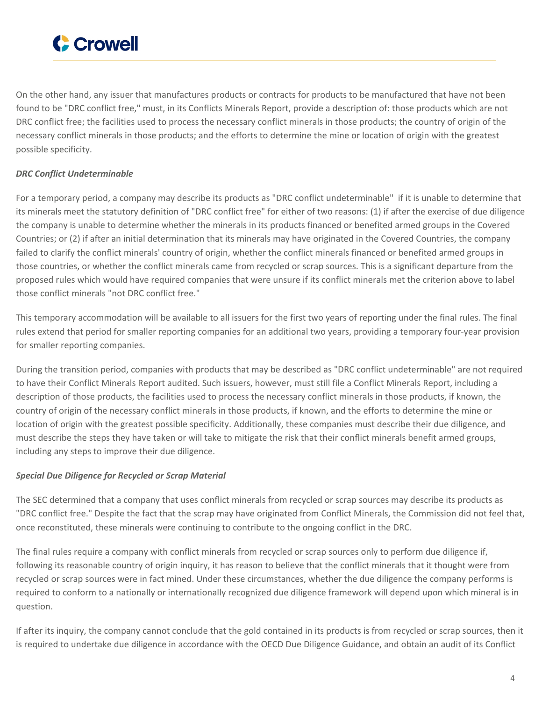

On the other hand, any issuer that manufactures products or contracts for products to be manufactured that have not been found to be "DRC conflict free," must, in its Conflicts Minerals Report, provide a description of: those products which are not DRC conflict free; the facilities used to process the necessary conflict minerals in those products; the country of origin of the necessary conflict minerals in those products; and the efforts to determine the mine or location of origin with the greatest possible specificity.

# *DRC Conflict Undeterminable*

For a temporary period, a company may describe its products as "DRC conflict undeterminable" if it is unable to determine that its minerals meet the statutory definition of "DRC conflict free" for either of two reasons: (1) if after the exercise of due diligence the company is unable to determine whether the minerals in its products financed or benefited armed groups in the Covered Countries; or (2) if after an initial determination that its minerals may have originated in the Covered Countries, the company failed to clarify the conflict minerals' country of origin, whether the conflict minerals financed or benefited armed groups in those countries, or whether the conflict minerals came from recycled or scrap sources. This is a significant departure from the proposed rules which would have required companies that were unsure if its conflict minerals met the criterion above to label those conflict minerals "not DRC conflict free."

This temporary accommodation will be available to all issuers for the first two years of reporting under the final rules. The final rules extend that period for smaller reporting companies for an additional two years, providing a temporary four-year provision for smaller reporting companies.

During the transition period, companies with products that may be described as "DRC conflict undeterminable" are not required to have their Conflict Minerals Report audited. Such issuers, however, must still file a Conflict Minerals Report, including a description of those products, the facilities used to process the necessary conflict minerals in those products, if known, the country of origin of the necessary conflict minerals in those products, if known, and the efforts to determine the mine or location of origin with the greatest possible specificity. Additionally, these companies must describe their due diligence, and must describe the steps they have taken or will take to mitigate the risk that their conflict minerals benefit armed groups, including any steps to improve their due diligence.

#### *Special Due Diligence for Recycled or Scrap Material*

The SEC determined that a company that uses conflict minerals from recycled or scrap sources may describe its products as "DRC conflict free." Despite the fact that the scrap may have originated from Conflict Minerals, the Commission did not feel that, once reconstituted, these minerals were continuing to contribute to the ongoing conflict in the DRC.

The final rules require a company with conflict minerals from recycled or scrap sources only to perform due diligence if, following its reasonable country of origin inquiry, it has reason to believe that the conflict minerals that it thought were from recycled or scrap sources were in fact mined. Under these circumstances, whether the due diligence the company performs is required to conform to a nationally or internationally recognized due diligence framework will depend upon which mineral is in question.

If after its inquiry, the company cannot conclude that the gold contained in its products is from recycled or scrap sources, then it is required to undertake due diligence in accordance with the OECD Due Diligence Guidance, and obtain an audit of its Conflict